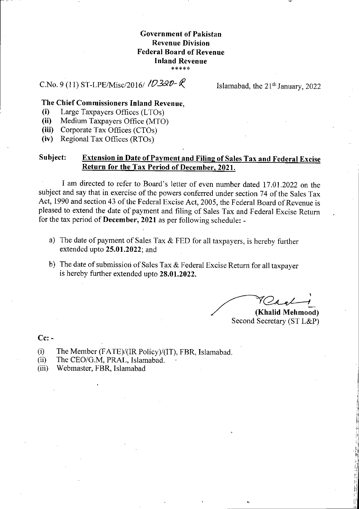## **Government of Pakistan Revenue Division Federal Board of Revenue Inland Revenue \*\*\*\*\***

## C.No. 9(11) ST-LPE/Misc/2016/  $\log 20$ -  $\ell$  Islamabad, the 21<sup>th</sup> January, 2022

## **The Chief Commissioners Inland Revenue,**

- $(i)$ Large Taxpayers Offices (LT0s)
- $(ii)$ Medium Taxpayers Office (MTO)

 $(iii)$ Corporate Tax Offices (CT0s)

Regional Tax Offices (RT0s)  $(iv)$ 

## **Subject: Extension in Date of Payment and Filing of Sales Tax and Federal Excise Return for the Tax Period of December, 2021.**

I am directed to refer to Board's letter of even number dated 17.01.2022 on the subject and say that in exercise of the powers conferred under section 74 of the Sales Tax Act, 1990 and section 43 of the Federal Excise Act, 2005, the Federal Board of Revenue is pleased to extend the date of payment and filing of Sales Tax and Federal Excise Return for the tax period of **December, 2021** as per following schedule: -

- a) The date of payment of Sales Tax  $&$  FED for all taxpayers, is hereby further extended upto **25.01.2022;** and
- b) The date of submission of Sales Tax & Federal Excise Return for all taxpayer is hereby further extended upto **28.01.2022.**

**(Khalid Mehmood)** Second Secretary (ST L&P)

**Cc: -** 

- The Member (FATE)/(IR Policy)/(IT), FBR, Islamabad.  $(i)$
- The CEO/G.M, PRAL, Islamabad.  $(ii)$
- $(iii)$ Webmaster, FBR, Islamabad